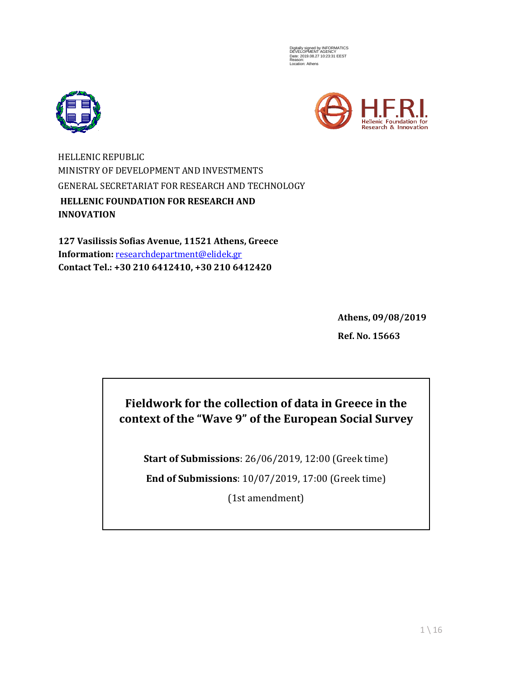Digitally signed by INFORMATICS DEVELOPMENT AGENCY Date: 2019.08.27 10:23:31 EEST Reason: Location: Athens





HELLENIC REPUBLIC MINISTRY OF DEVELOPMENT AND INVESTMENTS GENERAL SECRETARIAT FOR RESEARCH AND TECHNOLOGY **HELLENIC FOUNDATION FOR RESEARCH AND INNOVATION**

**127 Vasilissis Sofias Avenue, 11521 Athens, Greece Information:** [researchdepartment@elidek.gr](mailto:researchdepartment@elidek.gr) **Contact Tel.: +30 210 6412410, +30 210 6412420**

> **Athens, 09/08/2019 Ref. No. 15663**

# **Fieldwork for the collection of data in Greece in the context of the "Wave 9" of the European Social Survey**

**Start of Submissions**: 26/06/2019, 12:00 (Greek time)

**End of Submissions**: 10/07/2019, 17:00 (Greek time)

(1st amendment)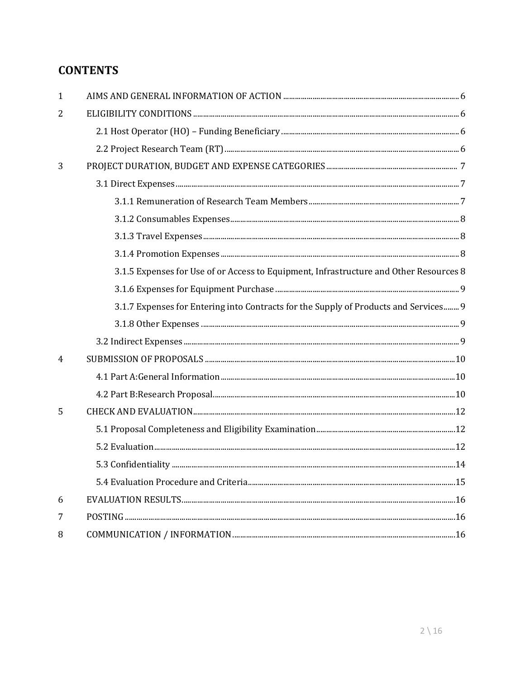# **CONTENTS**

| $\mathbf{1}$   |                                                                                        |
|----------------|----------------------------------------------------------------------------------------|
| 2              |                                                                                        |
|                |                                                                                        |
|                |                                                                                        |
| 3              |                                                                                        |
|                |                                                                                        |
|                |                                                                                        |
|                |                                                                                        |
|                |                                                                                        |
|                |                                                                                        |
|                | 3.1.5 Expenses for Use of or Access to Equipment, Infrastructure and Other Resources 8 |
|                |                                                                                        |
|                | 3.1.7 Expenses for Entering into Contracts for the Supply of Products and Services 9   |
|                |                                                                                        |
|                |                                                                                        |
| $\overline{4}$ |                                                                                        |
|                |                                                                                        |
|                |                                                                                        |
| 5              |                                                                                        |
|                |                                                                                        |
|                |                                                                                        |
|                |                                                                                        |
|                |                                                                                        |
| 6              |                                                                                        |
| 7              |                                                                                        |
| 8              |                                                                                        |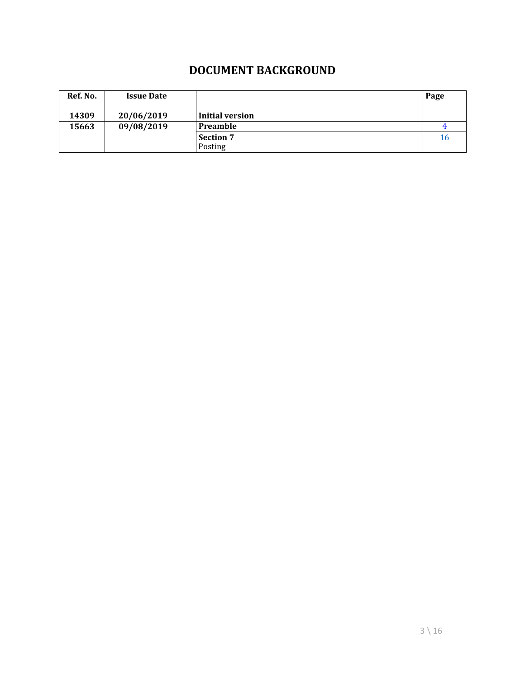## **DOCUMENT BACKGROUND**

| Ref. No. | <b>Issue Date</b> |                  | Page |
|----------|-------------------|------------------|------|
| 14309    | 20/06/2019        | Initial version  |      |
| 15663    | 09/08/2019        | <b>Preamble</b>  |      |
|          |                   | <b>Section 7</b> | 16   |
|          |                   | Posting          |      |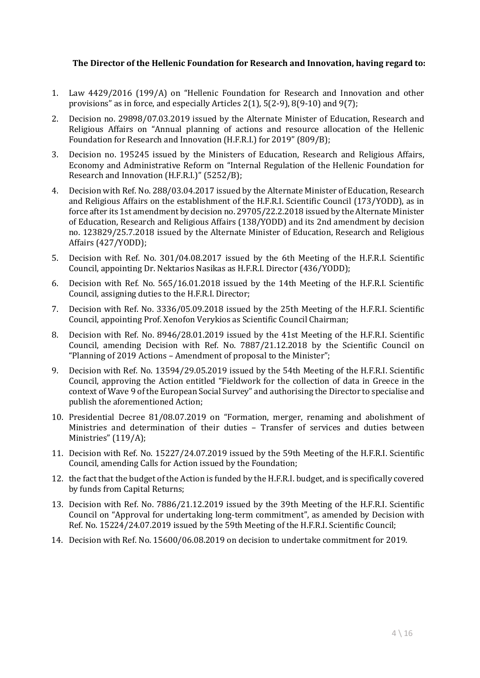#### **The Director of the Hellenic Foundation for Research and Innovation, having regard to:**

- 1. Law 4429/2016 (199/A) on "Hellenic Foundation for Research and Innovation and other provisions" as in force, and especially Articles 2(1), 5(2-9), 8(9-10) and 9(7);
- 2. Decision no. 29898/07.03.2019 issued by the Alternate Minister of Education, Research and Religious Affairs on "Annual planning of actions and resource allocation of the Hellenic Foundation for Research and Innovation (H.F.R.I.) for 2019" (809/B);
- 3. Decision no. 195245 issued by the Ministers of Education, Research and Religious Affairs, Economy and Administrative Reform on "Internal Regulation of the Hellenic Foundation for Research and Innovation (H.F.R.I.)" (5252/B);
- 4. Decision with Ref. No. 288/03.04.2017 issued by the Alternate Minister of Education, Research and Religious Affairs on the establishment of the H.F.R.I. Scientific Council (173/YODD), as in force after its 1st amendment by decision no. 29705/22.2.2018 issued by the Alternate Minister of Education, Research and Religious Affairs (138/YODD) and its 2nd amendment by decision no. 123829/25.7.2018 issued by the Alternate Minister of Education, Research and Religious Affairs (427/YODD);
- 5. Decision with Ref. No. 301/04.08.2017 issued by the 6th Meeting of the H.F.R.I. Scientific Council, appointing Dr. Nektarios Nasikas as H.F.R.I. Director (436/YODD);
- 6. Decision with Ref. No. 565/16.01.2018 issued by the 14th Meeting of the H.F.R.I. Scientific Council, assigning duties to the H.F.R.I. Director;
- 7. Decision with Ref. No. 3336/05.09.2018 issued by the 25th Meeting of the H.F.R.I. Scientific Council, appointing Prof. Xenofon Verykios as Scientific Council Chairman;
- 8. Decision with Ref. No. 8946/28.01.2019 issued by the 41st Meeting of the H.F.R.I. Scientific Council, amending Decision with Ref. No. 7887/21.12.2018 by the Scientific Council on "Planning of 2019 Actions – Amendment of proposal to the Minister";
- 9. Decision with Ref. No. 13594/29.05.2019 issued by the 54th Meeting of the H.F.R.I. Scientific Council, approving the Action entitled "Fieldwork for the collection of data in Greece in the context of Wave 9 of the European Social Survey" and authorising the Director to specialise and publish the aforementioned Action;
- 10. Presidential Decree 81/08.07.2019 on "Formation, merger, renaming and abolishment of Ministries and determination of their duties – Transfer of services and duties between Ministries" (119/A);
- 11. Decision with Ref. No. 15227/24.07.2019 issued by the 59th Meeting of the H.F.R.I. Scientific Council, amending Calls for Action issued by the Foundation;
- 12. the fact that the budget of the Action is funded by the H.F.R.I. budget, and is specifically covered by funds from Capital Returns;
- 13. Decision with Ref. No. 7886/21.12.2019 issued by the 39th Meeting of the H.F.R.I. Scientific Council on "Approval for undertaking long-term commitment", as amended by Decision with Ref. No. 15224/24.07.2019 issued by the 59th Meeting of the H.F.R.I. Scientific Council;
- 14. Decision with Ref. No. 15600/06.08.2019 on decision to undertake commitment for 2019.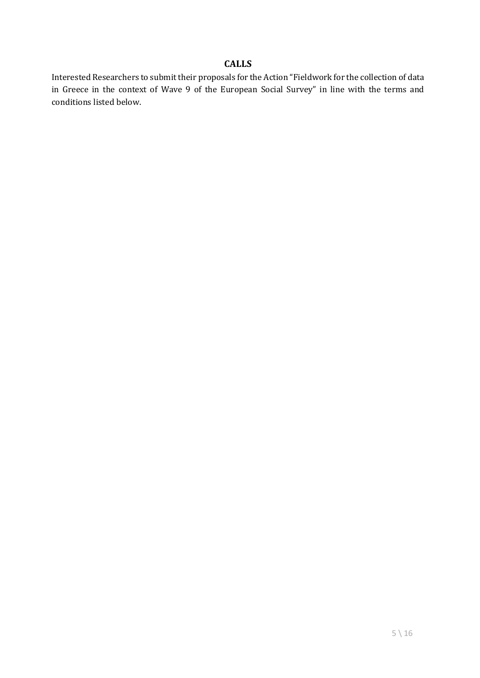#### **CALLS**

Interested Researchers to submit their proposals for the Action "Fieldwork for the collection of data in Greece in the context of Wave 9 of the European Social Survey" in line with the terms and conditions listed below.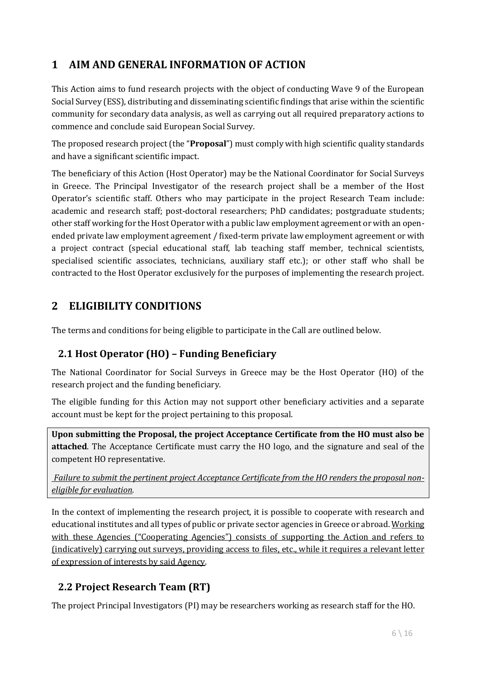# **1 AIM AND GENERAL INFORMATION OF ACTION**

This Action aims to fund research projects with the object of conducting Wave 9 of the European Social Survey (ESS), distributing and disseminating scientific findings that arise within the scientific community for secondary data analysis, as well as carrying out all required preparatory actions to commence and conclude said European Social Survey.

The proposed research project (the "**Proposal**") must comply with high scientific quality standards and have a significant scientific impact.

The beneficiary of this Action (Host Operator) may be the National Coordinator for Social Surveys in Greece. The Principal Investigator of the research project shall be a member of the Host Operator's scientific staff. Others who may participate in the project Research Team include: academic and research staff; post-doctoral researchers; PhD candidates; postgraduate students; other staff working for the Host Operator with a public law employment agreement or with an openended private law employment agreement / fixed-term private law employment agreement or with a project contract (special educational staff, lab teaching staff member, technical scientists, specialised scientific associates, technicians, auxiliary staff etc.); or other staff who shall be contracted to the Host Operator exclusively for the purposes of implementing the research project.

# **2 ELIGIBILITY CONDITIONS**

The terms and conditions for being eligible to participate in the Call are outlined below.

## **2.1 Host Operator (HO) – Funding Beneficiary**

The National Coordinator for Social Surveys in Greece may be the Host Operator (HO) of the research project and the funding beneficiary.

The eligible funding for this Action may not support other beneficiary activities and a separate account must be kept for the project pertaining to this proposal.

**Upon submitting the Proposal, the project Acceptance Certificate from the HO must also be attached**. The Acceptance Certificate must carry the HO logo, and the signature and seal of the competent HO representative.

*Failure to submit the pertinent project Acceptance Certificate from the HO renders the proposal noneligible for evaluation.*

In the context of implementing the research project, it is possible to cooperate with research and educational institutes and all types of public or private sector agencies in Greece or abroad. Working with these Agencies ("Cooperating Agencies") consists of supporting the Action and refers to (indicatively) carrying out surveys, providing access to files, etc., while it requires a relevant letter of expression of interests by said Agency.

## **2.2 Project Research Team (RT)**

The project Principal Investigators (PI) may be researchers working as research staff for the HO.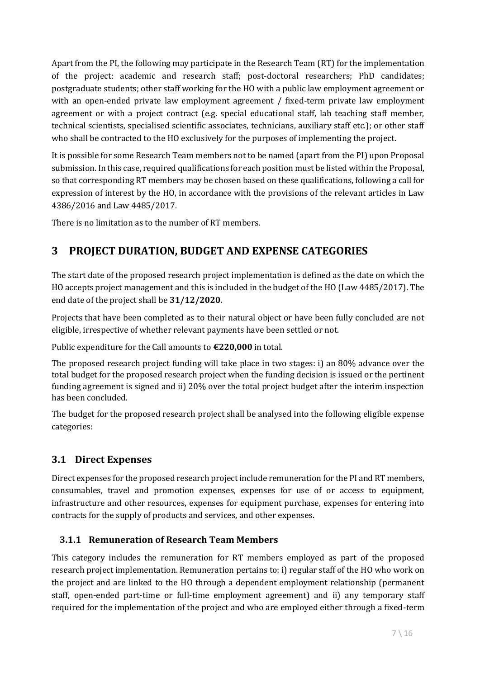Apart from the PI, the following may participate in the Research Team (RT) for the implementation of the project: academic and research staff; post-doctoral researchers; PhD candidates; postgraduate students; other staff working for the HO with a public law employment agreement or with an open-ended private law employment agreement / fixed-term private law employment agreement or with a project contract (e.g. special educational staff, lab teaching staff member, technical scientists, specialised scientific associates, technicians, auxiliary staff etc.); or other staff who shall be contracted to the HO exclusively for the purposes of implementing the project.

It is possible for some Research Team members not to be named (apart from the PI) upon Proposal submission. In this case, required qualifications for each position must be listed within the Proposal, so that corresponding RT members may be chosen based on these qualifications, following a call for expression of interest by the HO, in accordance with the provisions of the relevant articles in Law 4386/2016 and Law 4485/2017.

There is no limitation as to the number of RT members.

# **3 PROJECT DURATION, BUDGET AND EXPENSE CATEGORIES**

The start date of the proposed research project implementation is defined as the date on which the HO accepts project management and this is included in the budget of the HO (Law 4485/2017). The end date of the project shall be **31/12/2020**.

Projects that have been completed as to their natural object or have been fully concluded are not eligible, irrespective of whether relevant payments have been settled or not.

Public expenditure for the Call amounts to **€220,000** in total.

The proposed research project funding will take place in two stages: i) an 80% advance over the total budget for the proposed research project when the funding decision is issued or the pertinent funding agreement is signed and ii) 20% over the total project budget after the interim inspection has been concluded.

The budget for the proposed research project shall be analysed into the following eligible expense categories:

## **3.1 Direct Expenses**

Direct expenses for the proposed research project include remuneration for the PI and RT members, consumables, travel and promotion expenses, expenses for use of or access to equipment, infrastructure and other resources, expenses for equipment purchase, expenses for entering into contracts for the supply of products and services, and other expenses.

## **3.1.1 Remuneration of Research Team Members**

This category includes the remuneration for RT members employed as part of the proposed research project implementation. Remuneration pertains to: i) regular staff of the HO who work on the project and are linked to the HO through a dependent employment relationship (permanent staff, open-ended part-time or full-time employment agreement) and ii) any temporary staff required for the implementation of the project and who are employed either through a fixed-term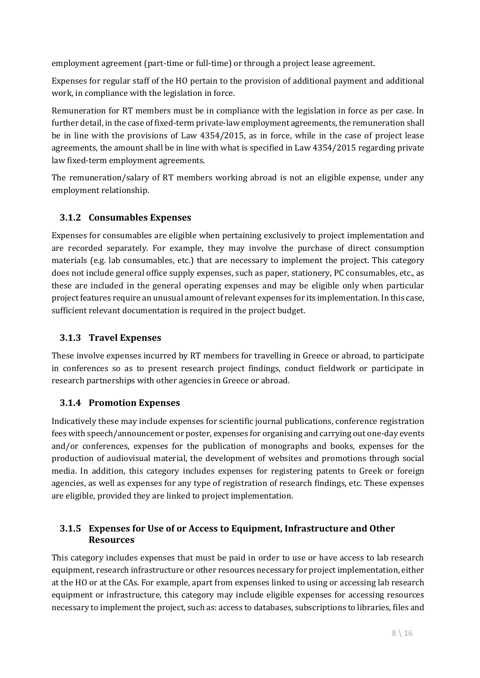employment agreement (part-time or full-time) or through a project lease agreement.

Expenses for regular staff of the HO pertain to the provision of additional payment and additional work, in compliance with the legislation in force.

Remuneration for RT members must be in compliance with the legislation in force as per case. In further detail, in the case of fixed-term private-law employment agreements, the remuneration shall be in line with the provisions of Law 4354/2015, as in force, while in the case of project lease agreements, the amount shall be in line with what is specified in Law 4354/2015 regarding private law fixed-term employment agreements.

The remuneration/salary of RT members working abroad is not an eligible expense, under any employment relationship.

### **3.1.2 Consumables Expenses**

Expenses for consumables are eligible when pertaining exclusively to project implementation and are recorded separately. For example, they may involve the purchase of direct consumption materials (e.g. lab consumables, etc.) that are necessary to implement the project. This category does not include general office supply expenses, such as paper, stationery, PC consumables, etc., as these are included in the general operating expenses and may be eligible only when particular project features require an unusual amount of relevant expenses for its implementation. In this case, sufficient relevant documentation is required in the project budget.

#### **3.1.3 Travel Expenses**

These involve expenses incurred by RT members for travelling in Greece or abroad, to participate in conferences so as to present research project findings, conduct fieldwork or participate in research partnerships with other agencies in Greece or abroad.

### **3.1.4 Promotion Expenses**

Indicatively these may include expenses for scientific journal publications, conference registration fees with speech/announcement or poster, expenses for organising and carrying out one-day events and/or conferences, expenses for the publication of monographs and books, expenses for the production of audiovisual material, the development of websites and promotions through social media. In addition, this category includes expenses for registering patents to Greek or foreign agencies, as well as expenses for any type of registration of research findings, etc. These expenses are eligible, provided they are linked to project implementation.

### **3.1.5 Expenses for Use of or Access to Equipment, Infrastructure and Other Resources**

This category includes expenses that must be paid in order to use or have access to lab research equipment, research infrastructure or other resources necessary for project implementation, either at the HO or at the CAs. For example, apart from expenses linked to using or accessing lab research equipment or infrastructure, this category may include eligible expenses for accessing resources necessary to implement the project, such as: access to databases, subscriptions to libraries, files and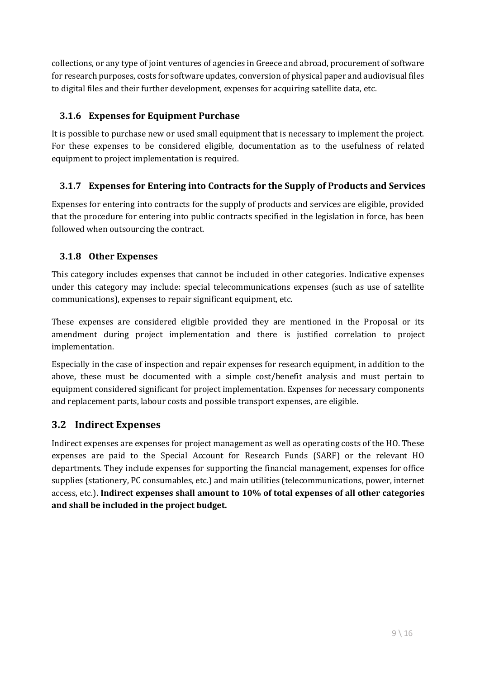collections, or any type of joint ventures of agencies in Greece and abroad, procurement of software for research purposes, costs for software updates, conversion of physical paper and audiovisual files to digital files and their further development, expenses for acquiring satellite data, etc.

### **3.1.6 Expenses for Equipment Purchase**

It is possible to purchase new or used small equipment that is necessary to implement the project. For these expenses to be considered eligible, documentation as to the usefulness of related equipment to project implementation is required.

## **3.1.7 Expenses for Entering into Contracts for the Supply of Products and Services**

Expenses for entering into contracts for the supply of products and services are eligible, provided that the procedure for entering into public contracts specified in the legislation in force, has been followed when outsourcing the contract.

### **3.1.8 Other Expenses**

This category includes expenses that cannot be included in other categories. Indicative expenses under this category may include: special telecommunications expenses (such as use of satellite communications), expenses to repair significant equipment, etc.

These expenses are considered eligible provided they are mentioned in the Proposal or its amendment during project implementation and there is justified correlation to project implementation.

Especially in the case of inspection and repair expenses for research equipment, in addition to the above, these must be documented with a simple cost/benefit analysis and must pertain to equipment considered significant for project implementation. Expenses for necessary components and replacement parts, labour costs and possible transport expenses, are eligible.

## **3.2 Indirect Expenses**

Indirect expenses are expenses for project management as well as operating costs of the HO. These expenses are paid to the Special Account for Research Funds (SARF) or the relevant HO departments. They include expenses for supporting the financial management, expenses for office supplies (stationery, PC consumables, etc.) and main utilities (telecommunications, power, internet access, etc.). **Indirect expenses shall amount to 10% of total expenses of all other categories and shall be included in the project budget.**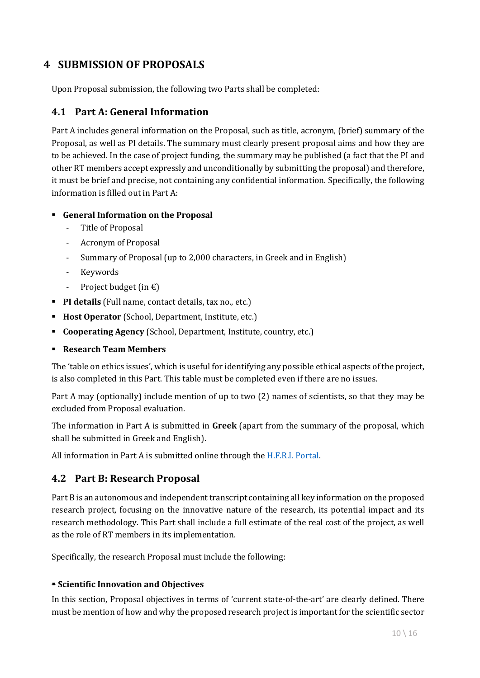## **4 SUBMISSION OF PROPOSALS**

Upon Proposal submission, the following two Parts shall be completed:

### **4.1 Part A: General Information**

Part A includes general information on the Proposal, such as title, acronym, (brief) summary of the Proposal, as well as PI details. The summary must clearly present proposal aims and how they are to be achieved. In the case of project funding, the summary may be published (a fact that the PI and other RT members accept expressly and unconditionally by submitting the proposal) and therefore, it must be brief and precise, not containing any confidential information. Specifically, the following information is filled out in Part A:

#### **General Information on the Proposal**

- Title of Proposal
- Acronym of Proposal
- Summary of Proposal (up to 2,000 characters, in Greek and in English)
- Keywords
- Project budget (in  $\epsilon$ )
- **PI details** (Full name, contact details, tax no., etc.)
- **Host Operator** (School, Department, Institute, etc.)
- **Cooperating Agency** (School, Department, Institute, country, etc.)
- **Research Team Members**

The 'table on ethics issues', which is useful for identifying any possible ethical aspects of the project, is also completed in this Part. This table must be completed even if there are no issues.

Part A may (optionally) include mention of up to two (2) names of scientists, so that they may be excluded from Proposal evaluation.

The information in Part A is submitted in **Greek** (apart from the summary of the proposal, which shall be submitted in Greek and English).

All information in Part A is submitted online through th[e H.F.R.I. Portal.](https://hfri.grnet.gr/)

### **4.2 Part B: Research Proposal**

Part B is an autonomous and independent transcript containing all key information on the proposed research project, focusing on the innovative nature of the research, its potential impact and its research methodology. This Part shall include a full estimate of the real cost of the project, as well as the role of RT members in its implementation.

Specifically, the research Proposal must include the following:

#### **F** Scientific Innovation and Objectives

In this section, Proposal objectives in terms of 'current state-of-the-art' are clearly defined. There must be mention of how and why the proposed research project is important for the scientific sector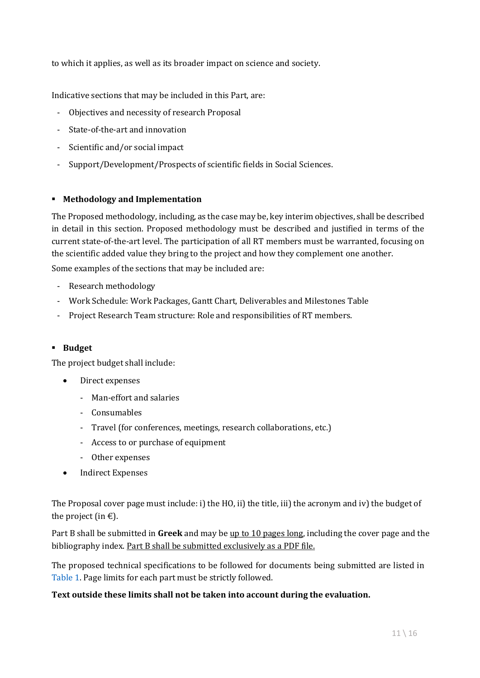to which it applies, as well as its broader impact on science and society.

Indicative sections that may be included in this Part, are:

- Objectives and necessity of research Proposal
- State-of-the-art and innovation
- Scientific and/or social impact
- Support/Development/Prospects of scientific fields in Social Sciences.

#### **Methodology and Implementation**

The Proposed methodology, including, as the case may be, key interim objectives, shall be described in detail in this section. Proposed methodology must be described and justified in terms of the current state-of-the-art level. The participation of all RT members must be warranted, focusing on the scientific added value they bring to the project and how they complement one another.

Some examples of the sections that may be included are:

- Research methodology
- Work Schedule: Work Packages, Gantt Chart, Deliverables and Milestones Table
- Project Research Team structure: Role and responsibilities of RT members.

#### **Budget**

The project budget shall include:

- Direct expenses
	- Man-effort and salaries
	- Consumables
	- Travel (for conferences, meetings, research collaborations, etc.)
	- Access to or purchase of equipment
	- Other expenses
- Indirect Expenses

The Proposal cover page must include: i) the HO, ii) the title, iii) the acronym and iv) the budget of the project (in  $\epsilon$ ).

Part B shall be submitted in **Greek** and may be up to 10 pages long, including the cover page and the bibliography index. Part B shall be submitted exclusively as a PDF file.

The proposed technical specifications to be followed for documents being submitted are listed in [Table 1.](file:///C:/Users/Rory/Desktop/Elidek/ENGs%20Raw/Prokiriksi_9o-Kyma-EKE_1T_9-19_EN.DOCX%23_bookmark18) Page limits for each part must be strictly followed.

#### **Text outside these limits shall not be taken into account during the evaluation.**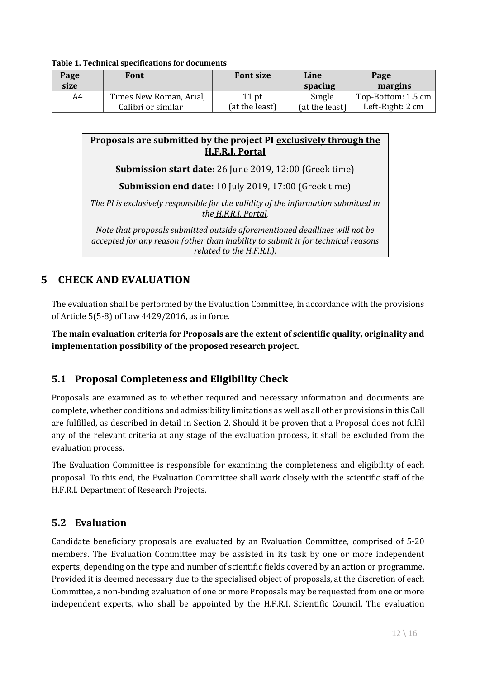**Table 1. Technical specifications for documents**

| Page<br>size | Font                    | <b>Font size</b> | Line<br>spacing | Page<br>margins    |
|--------------|-------------------------|------------------|-----------------|--------------------|
| A4           | Times New Roman, Arial, | $11$ pt          | Single          | Top-Bottom: 1.5 cm |
|              | Calibri or similar      | (at the least)   | (at the least)  | Left-Right: 2 cm   |

#### **Proposals are submitted by the project PI exclusively through the H.F.R.I. Portal**

**Submission start date:** 26 June 2019, 12:00 (Greek time)

**Submission end date:** 10 July 2019, 17:00 (Greek time)

*The PI is exclusively responsible for the validity of the information submitted in the H.F.R.I. Portal.*

*Note that proposals submitted outside aforementioned deadlines will not be accepted for any reason (other than inability to submit it for technical reasons related to the H.F.R.I.).*

# **5 CHECK AND EVALUATION**

The evaluation shall be performed by the Evaluation Committee, in accordance with the provisions of Article 5(5-8) of Law 4429/2016, as in force.

**The main evaluation criteria for Proposals are the extent of scientific quality, originality and implementation possibility of the proposed research project.**

## **5.1 Proposal Completeness and Eligibility Check**

Proposals are examined as to whether required and necessary information and documents are complete, whether conditions and admissibility limitations as well as all other provisions in this Call are fulfilled, as described in detail in Section 2. Should it be proven that a Proposal does not fulfil any of the relevant criteria at any stage of the evaluation process, it shall be excluded from the evaluation process.

The Evaluation Committee is responsible for examining the completeness and eligibility of each proposal. To this end, the Evaluation Committee shall work closely with the scientific staff of the H.F.R.I. Department of Research Projects.

## **5.2 Evaluation**

Candidate beneficiary proposals are evaluated by an Evaluation Committee, comprised of 5-20 members. The Evaluation Committee may be assisted in its task by one or more independent experts, depending on the type and number of scientific fields covered by an action or programme. Provided it is deemed necessary due to the specialised object of proposals, at the discretion of each Committee, a non-binding evaluation of one or more Proposals may be requested from one or more independent experts, who shall be appointed by the H.F.R.I. Scientific Council. The evaluation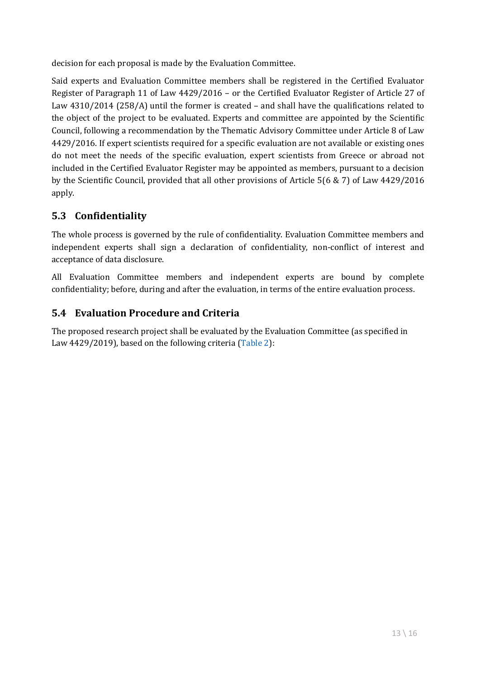decision for each proposal is made by the Evaluation Committee.

Said experts and Evaluation Committee members shall be registered in the Certified Evaluator Register of Paragraph 11 of Law 4429/2016 – or the Certified Evaluator Register of Article 27 of Law 4310/2014 (258/A) until the former is created – and shall have the qualifications related to the object of the project to be evaluated. Experts and committee are appointed by the Scientific Council, following a recommendation by the Thematic Advisory Committee under Article 8 of Law 4429/2016. If expert scientists required for a specific evaluation are not available or existing ones do not meet the needs of the specific evaluation, expert scientists from Greece or abroad not included in the Certified Evaluator Register may be appointed as members, pursuant to a decision by the Scientific Council, provided that all other provisions of Article 5(6 & 7) of Law 4429/2016 apply.

## **5.3 Confidentiality**

The whole process is governed by the rule of confidentiality. Evaluation Committee members and independent experts shall sign a declaration of confidentiality, non-conflict of interest and acceptance of data disclosure.

All Evaluation Committee members and independent experts are bound by complete confidentiality; before, during and after the evaluation, in terms of the entire evaluation process.

## **5.4 Evaluation Procedure and Criteria**

The proposed research project shall be evaluated by the Evaluation Committee (as specified in Law 4429/2019), based on the following criteria [\(Table 2\)](file:///C:/Users/Rory/Desktop/Elidek/ENGs%20Raw/Prokiriksi_9o-Kyma-EKE_1T_9-19_EN.DOCX%23_bookmark24):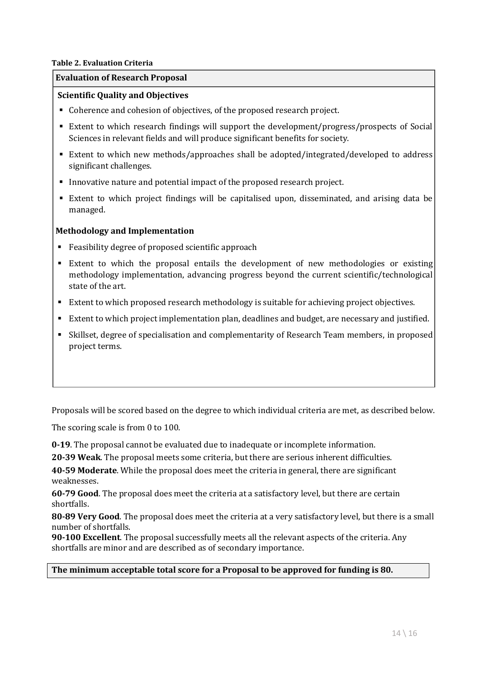#### **Table 2. Evaluation Criteria**

#### **Evaluation of Research Proposal**

#### **Scientific Quality and Objectives**

- Coherence and cohesion of objectives, of the proposed research project.
- Extent to which research findings will support the development/progress/prospects of Social Sciences in relevant fields and will produce significant benefits for society.
- Extent to which new methods/approaches shall be adopted/integrated/developed to address significant challenges.
- Innovative nature and potential impact of the proposed research project.
- Extent to which project findings will be capitalised upon, disseminated, and arising data be managed.

#### **Methodology and Implementation**

- Feasibility degree of proposed scientific approach
- Extent to which the proposal entails the development of new methodologies or existing methodology implementation, advancing progress beyond the current scientific/technological state of the art.
- Extent to which proposed research methodology is suitable for achieving project objectives.
- Extent to which project implementation plan, deadlines and budget, are necessary and justified.
- Skillset, degree of specialisation and complementarity of Research Team members, in proposed project terms.

Proposals will be scored based on the degree to which individual criteria are met, as described below.

The scoring scale is from 0 to 100.

**0-19**. The proposal cannot be evaluated due to inadequate or incomplete information.

**20-39 Weak**. The proposal meets some criteria, but there are serious inherent difficulties.

**40-59 Moderate**. While the proposal does meet the criteria in general, there are significant weaknesses.

**60-79 Good**. The proposal does meet the criteria at a satisfactory level, but there are certain shortfalls.

**80-89 Very Good**. The proposal does meet the criteria at a very satisfactory level, but there is a small number of shortfalls.

**90-100 Excellent**. The proposal successfully meets all the relevant aspects of the criteria. Any shortfalls are minor and are described as of secondary importance.

#### **The minimum acceptable total score for a Proposal to be approved for funding is 80.**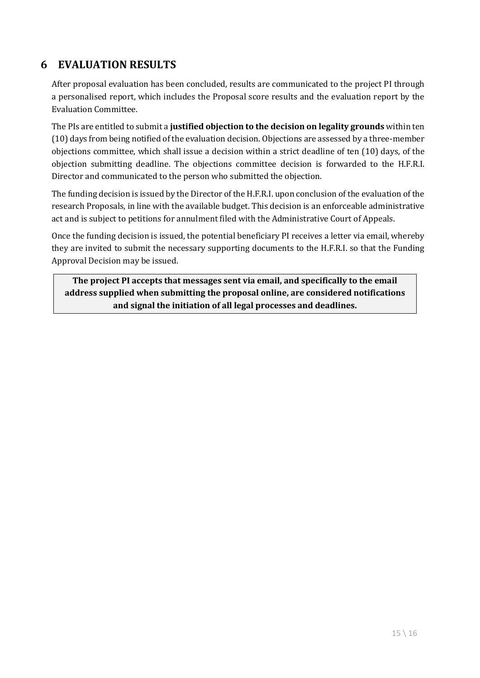## **6 EVALUATION RESULTS**

After proposal evaluation has been concluded, results are communicated to the project PI through a personalised report, which includes the Proposal score results and the evaluation report by the Evaluation Committee.

The PIs are entitled to submit a **justified objection to the decision on legality grounds** within ten (10) days from being notified of the evaluation decision. Objections are assessed by a three-member objections committee, which shall issue a decision within a strict deadline of ten (10) days, of the objection submitting deadline. The objections committee decision is forwarded to the H.F.R.I. Director and communicated to the person who submitted the objection.

The funding decision is issued by the Director of the H.F.R.I. upon conclusion of the evaluation of the research Proposals, in line with the available budget. This decision is an enforceable administrative act and is subject to petitions for annulment filed with the Administrative Court of Appeals.

Once the funding decision is issued, the potential beneficiary PI receives a letter via email, whereby they are invited to submit the necessary supporting documents to the H.F.R.I. so that the Funding Approval Decision may be issued.

**The project PI accepts that messages sent via email, and specifically to the email address supplied when submitting the proposal online, are considered notifications and signal the initiation of all legal processes and deadlines.**